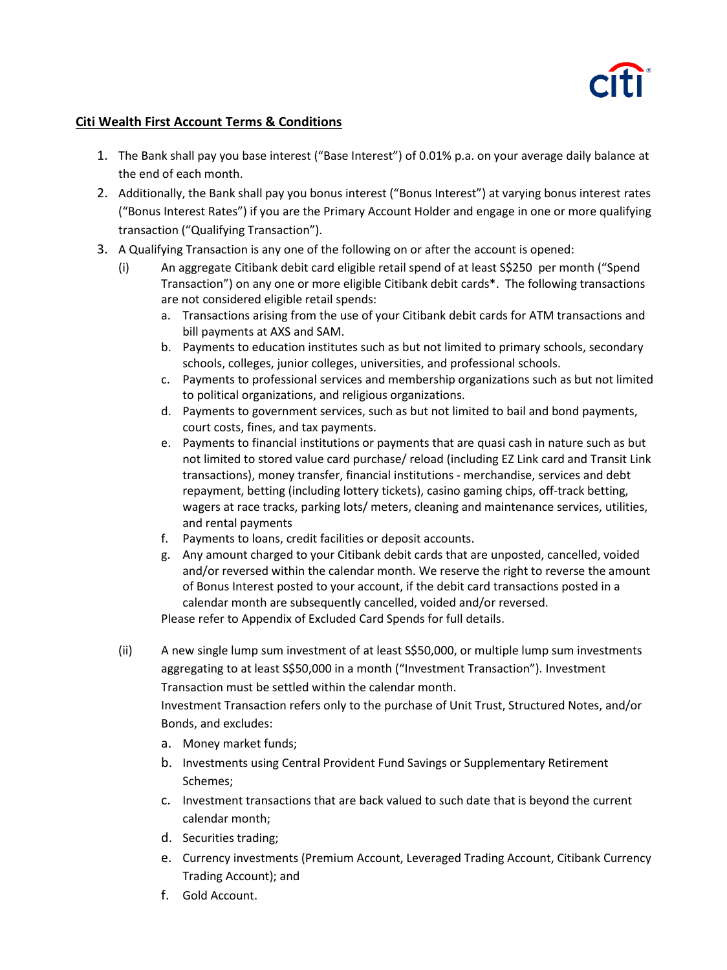

## **Citi Wealth First Account Terms & Conditions**

- 1. The Bank shall pay you base interest ("Base Interest") of 0.01% p.a. on your average daily balance at the end of each month.
- 2. Additionally, the Bank shall pay you bonus interest ("Bonus Interest") at varying bonus interest rates ("Bonus Interest Rates") if you are the Primary Account Holder and engage in one or more qualifying transaction ("Qualifying Transaction").
- 3. A Qualifying Transaction is any one of the following on or after the account is opened:
	- (i) An aggregate Citibank debit card eligible retail spend of at least S\$250 per month ("Spend Transaction") on any one or more eligible Citibank debit cards\*. The following transactions are not considered eligible retail spends:
		- a. Transactions arising from the use of your Citibank debit cards for ATM transactions and bill payments at AXS and SAM.
		- b. Payments to education institutes such as but not limited to primary schools, secondary schools, colleges, junior colleges, universities, and professional schools.
		- c. Payments to professional services and membership organizations such as but not limited to political organizations, and religious organizations.
		- d. Payments to government services, such as but not limited to bail and bond payments, court costs, fines, and tax payments.
		- e. Payments to financial institutions or payments that are quasi cash in nature such as but not limited to stored value card purchase/ reload (including EZ Link card and Transit Link transactions), money transfer, financial institutions - merchandise, services and debt repayment, betting (including lottery tickets), casino gaming chips, off-track betting, wagers at race tracks, parking lots/ meters, cleaning and maintenance services, utilities, and rental payments
		- f. Payments to loans, credit facilities or deposit accounts.
		- g. Any amount charged to your Citibank debit cards that are unposted, cancelled, voided and/or reversed within the calendar month. We reserve the right to reverse the amount of Bonus Interest posted to your account, if the debit card transactions posted in a calendar month are subsequently cancelled, voided and/or reversed. Please refer to Appendix of Excluded Card Spends for full details.
	- (ii) A new single lump sum investment of at least S\$50,000, or multiple lump sum investments aggregating to at least S\$50,000 in a month ("Investment Transaction"). Investment Transaction must be settled within the calendar month. Investment Transaction refers only to the purchase of Unit Trust, Structured Notes, and/or Bonds, and excludes:
		- a. Money market funds;
		- b. Investments using Central Provident Fund Savings or Supplementary Retirement Schemes;
		- c. Investment transactions that are back valued to such date that is beyond the current calendar month;
		- d. Securities trading;
		- e. Currency investments (Premium Account, Leveraged Trading Account, Citibank Currency Trading Account); and
		- f. Gold Account.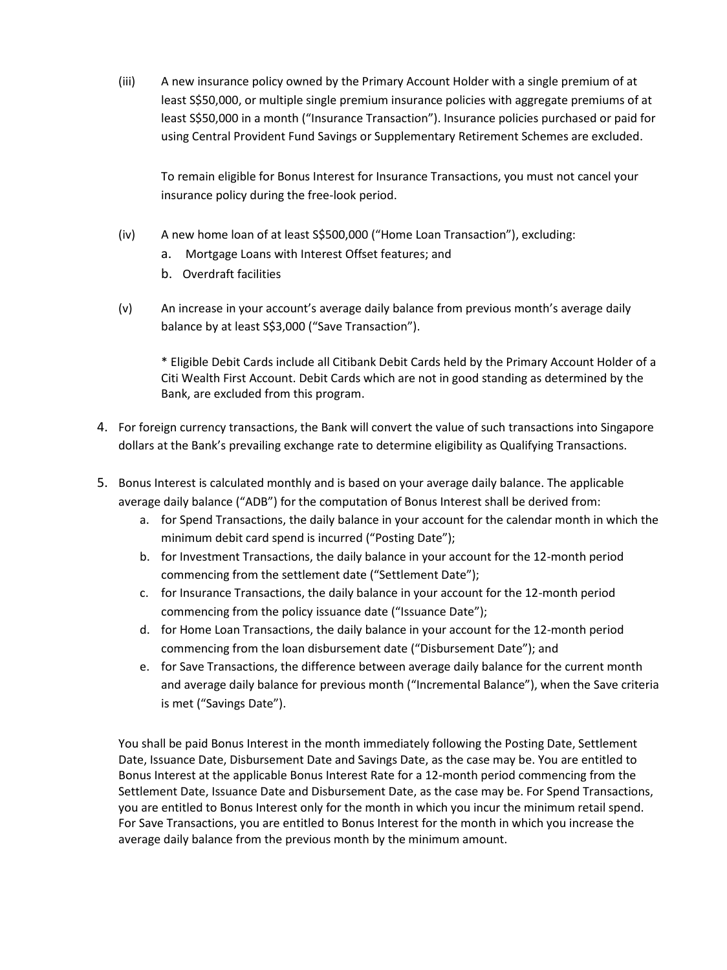(iii) A new insurance policy owned by the Primary Account Holder with a single premium of at least S\$50,000, or multiple single premium insurance policies with aggregate premiums of at least S\$50,000 in a month ("Insurance Transaction"). Insurance policies purchased or paid for using Central Provident Fund Savings or Supplementary Retirement Schemes are excluded.

To remain eligible for Bonus Interest for Insurance Transactions, you must not cancel your insurance policy during the free-look period.

- (iv) A new home loan of at least S\$500,000 ("Home Loan Transaction"), excluding:
	- a. Mortgage Loans with Interest Offset features; and
	- b. Overdraft facilities
- (v) An increase in your account's average daily balance from previous month's average daily balance by at least S\$3,000 ("Save Transaction").

\* Eligible Debit Cards include all Citibank Debit Cards held by the Primary Account Holder of a Citi Wealth First Account. Debit Cards which are not in good standing as determined by the Bank, are excluded from this program.

- 4. For foreign currency transactions, the Bank will convert the value of such transactions into Singapore dollars at the Bank's prevailing exchange rate to determine eligibility as Qualifying Transactions.
- 5. Bonus Interest is calculated monthly and is based on your average daily balance. The applicable average daily balance ("ADB") for the computation of Bonus Interest shall be derived from:
	- a. for Spend Transactions, the daily balance in your account for the calendar month in which the minimum debit card spend is incurred ("Posting Date");
	- b. for Investment Transactions, the daily balance in your account for the 12-month period commencing from the settlement date ("Settlement Date");
	- c. for Insurance Transactions, the daily balance in your account for the 12-month period commencing from the policy issuance date ("Issuance Date");
	- d. for Home Loan Transactions, the daily balance in your account for the 12-month period commencing from the loan disbursement date ("Disbursement Date"); and
	- e. for Save Transactions, the difference between average daily balance for the current month and average daily balance for previous month ("Incremental Balance"), when the Save criteria is met ("Savings Date").

You shall be paid Bonus Interest in the month immediately following the Posting Date, Settlement Date, Issuance Date, Disbursement Date and Savings Date, as the case may be. You are entitled to Bonus Interest at the applicable Bonus Interest Rate for a 12-month period commencing from the Settlement Date, Issuance Date and Disbursement Date, as the case may be. For Spend Transactions, you are entitled to Bonus Interest only for the month in which you incur the minimum retail spend. For Save Transactions, you are entitled to Bonus Interest for the month in which you increase the average daily balance from the previous month by the minimum amount.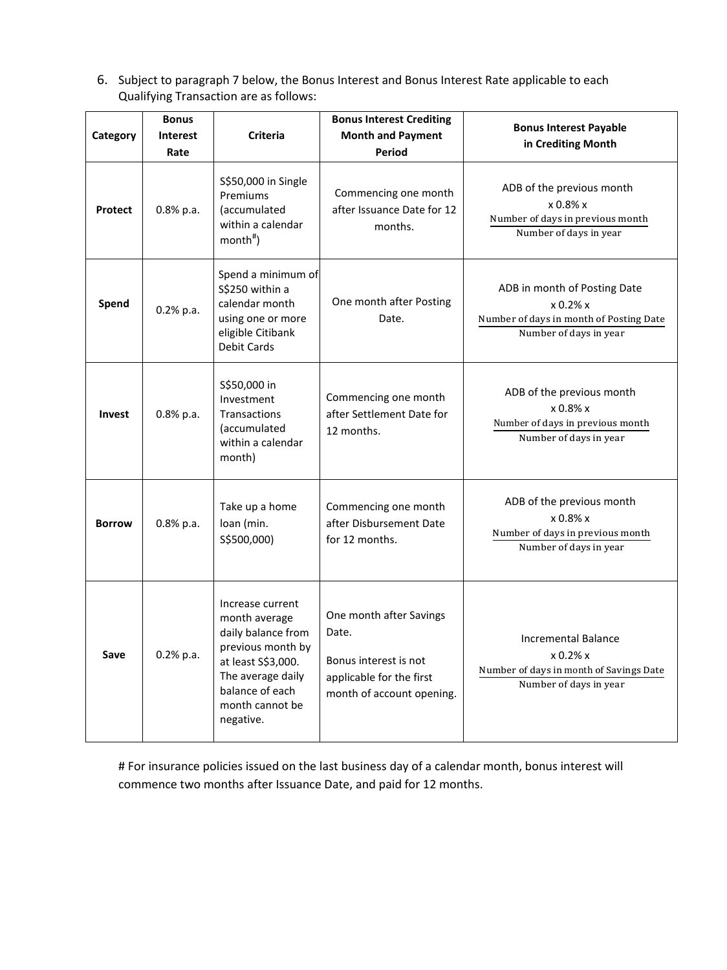6. Subject to paragraph 7 below, the Bonus Interest and Bonus Interest Rate applicable to each Qualifying Transaction are as follows:

| Category       | <b>Bonus</b><br><b>Interest</b><br>Rate | <b>Criteria</b>                                                                                                                                                            | <b>Bonus Interest Crediting</b><br><b>Month and Payment</b><br><b>Period</b>                                       | <b>Bonus Interest Payable</b><br>in Crediting Month                                                           |
|----------------|-----------------------------------------|----------------------------------------------------------------------------------------------------------------------------------------------------------------------------|--------------------------------------------------------------------------------------------------------------------|---------------------------------------------------------------------------------------------------------------|
| <b>Protect</b> | $0.8%$ p.a.                             | S\$50,000 in Single<br>Premiums<br>(accumulated<br>within a calendar<br>$month#$ )                                                                                         | Commencing one month<br>after Issuance Date for 12<br>months.                                                      | ADB of the previous month<br>$x 0.8\% x$<br>Number of days in previous month<br>Number of days in year        |
| Spend          | $0.2%$ p.a.                             | Spend a minimum of<br>S\$250 within a<br>calendar month<br>using one or more<br>eligible Citibank<br><b>Debit Cards</b>                                                    | One month after Posting<br>Date.                                                                                   | ADB in month of Posting Date<br>x 0.2% x<br>Number of days in month of Posting Date<br>Number of days in year |
| <b>Invest</b>  | 0.8% p.a.                               | S\$50,000 in<br>Investment<br>Transactions<br>(accumulated<br>within a calendar<br>month)                                                                                  | Commencing one month<br>after Settlement Date for<br>12 months.                                                    | ADB of the previous month<br>$x 0.8\% x$<br>Number of days in previous month<br>Number of days in year        |
| <b>Borrow</b>  | $0.8%$ p.a.                             | Take up a home<br>loan (min.<br>S\$500,000)                                                                                                                                | Commencing one month<br>after Disbursement Date<br>for 12 months.                                                  | ADB of the previous month<br>$x 0.8\% x$<br>Number of days in previous month<br>Number of days in year        |
| Save           | $0.2%$ p.a.                             | Increase current<br>month average<br>daily balance from<br>previous month by<br>at least S\$3,000.<br>The average daily<br>balance of each<br>month cannot be<br>negative. | One month after Savings<br>Date.<br>Bonus interest is not<br>applicable for the first<br>month of account opening. | Incremental Balance<br>x 0.2% x<br>Number of days in month of Savings Date<br>Number of days in year          |

# For insurance policies issued on the last business day of a calendar month, bonus interest will commence two months after Issuance Date, and paid for 12 months.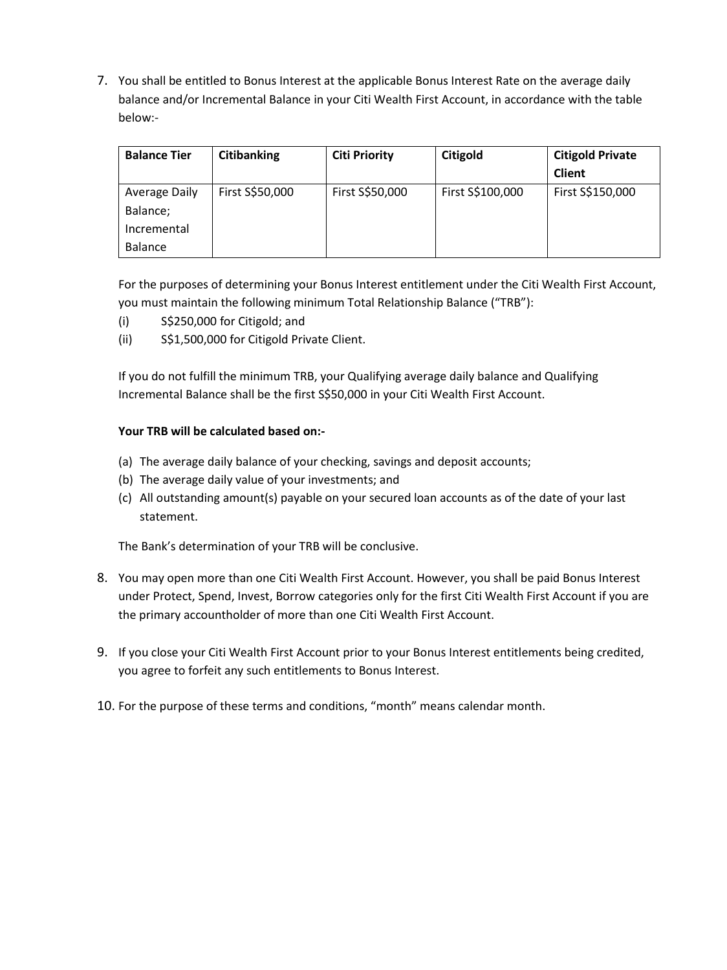7. You shall be entitled to Bonus Interest at the applicable Bonus Interest Rate on the average daily balance and/or Incremental Balance in your Citi Wealth First Account, in accordance with the table below:-

| <b>Balance Tier</b>  | <b>Citibanking</b> | <b>Citi Priority</b> | Citigold         | <b>Citigold Private</b> |
|----------------------|--------------------|----------------------|------------------|-------------------------|
|                      |                    |                      |                  | <b>Client</b>           |
| <b>Average Daily</b> | First S\$50,000    | First S\$50,000      | First S\$100,000 | First S\$150,000        |
| Balance;             |                    |                      |                  |                         |
| Incremental          |                    |                      |                  |                         |
| <b>Balance</b>       |                    |                      |                  |                         |

For the purposes of determining your Bonus Interest entitlement under the Citi Wealth First Account, you must maintain the following minimum Total Relationship Balance ("TRB"):

- (i) S\$250,000 for Citigold; and
- (ii) S\$1,500,000 for Citigold Private Client.

If you do not fulfill the minimum TRB, your Qualifying average daily balance and Qualifying Incremental Balance shall be the first S\$50,000 in your Citi Wealth First Account.

## **Your TRB will be calculated based on:-**

- (a) The average daily balance of your checking, savings and deposit accounts;
- (b) The average daily value of your investments; and
- (c) All outstanding amount(s) payable on your secured loan accounts as of the date of your last statement.

The Bank's determination of your TRB will be conclusive.

- 8. You may open more than one Citi Wealth First Account. However, you shall be paid Bonus Interest under Protect, Spend, Invest, Borrow categories only for the first Citi Wealth First Account if you are the primary accountholder of more than one Citi Wealth First Account.
- 9. If you close your Citi Wealth First Account prior to your Bonus Interest entitlements being credited, you agree to forfeit any such entitlements to Bonus Interest.
- 10. For the purpose of these terms and conditions, "month" means calendar month.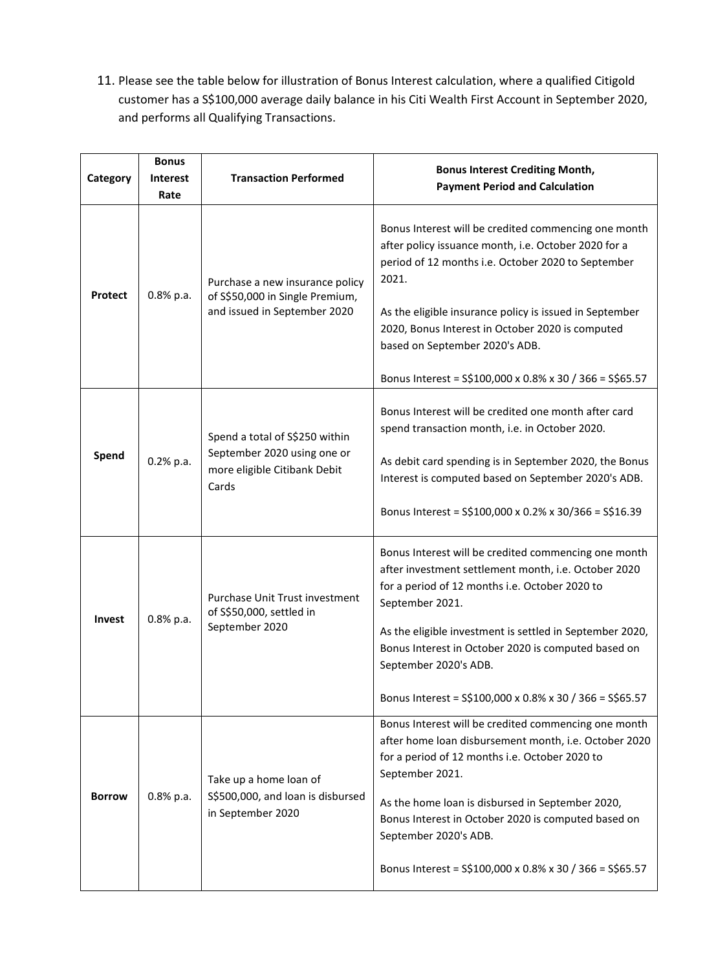11. Please see the table below for illustration of Bonus Interest calculation, where a qualified Citigold customer has a S\$100,000 average daily balance in his Citi Wealth First Account in September 2020, and performs all Qualifying Transactions.

| Category      | <b>Bonus</b><br><b>Interest</b><br>Rate | <b>Transaction Performed</b>                                                                           | <b>Bonus Interest Crediting Month,</b><br><b>Payment Period and Calculation</b>                                                                                                                                                                                                                                                                                                           |
|---------------|-----------------------------------------|--------------------------------------------------------------------------------------------------------|-------------------------------------------------------------------------------------------------------------------------------------------------------------------------------------------------------------------------------------------------------------------------------------------------------------------------------------------------------------------------------------------|
| Protect       | $0.8%$ p.a.                             | Purchase a new insurance policy<br>of S\$50,000 in Single Premium,<br>and issued in September 2020     | Bonus Interest will be credited commencing one month<br>after policy issuance month, i.e. October 2020 for a<br>period of 12 months i.e. October 2020 to September<br>2021.<br>As the eligible insurance policy is issued in September<br>2020, Bonus Interest in October 2020 is computed<br>based on September 2020's ADB.<br>Bonus Interest = S\$100,000 x 0.8% x 30 / 366 = S\$65.57  |
| Spend         | $0.2%$ p.a.                             | Spend a total of S\$250 within<br>September 2020 using one or<br>more eligible Citibank Debit<br>Cards | Bonus Interest will be credited one month after card<br>spend transaction month, i.e. in October 2020.<br>As debit card spending is in September 2020, the Bonus<br>Interest is computed based on September 2020's ADB.<br>Bonus Interest = S\$100,000 x 0.2% x 30/366 = S\$16.39                                                                                                         |
| <b>Invest</b> | $0.8%$ p.a.                             | Purchase Unit Trust investment<br>of S\$50,000, settled in<br>September 2020                           | Bonus Interest will be credited commencing one month<br>after investment settlement month, i.e. October 2020<br>for a period of 12 months i.e. October 2020 to<br>September 2021.<br>As the eligible investment is settled in September 2020,<br>Bonus Interest in October 2020 is computed based on<br>September 2020's ADB.<br>Bonus Interest = S\$100,000 x 0.8% x 30 / 366 = S\$65.57 |
| <b>Borrow</b> | 0.8% p.a.                               | Take up a home loan of<br>S\$500,000, and loan is disbursed<br>in September 2020                       | Bonus Interest will be credited commencing one month<br>after home loan disbursement month, i.e. October 2020<br>for a period of 12 months i.e. October 2020 to<br>September 2021.<br>As the home loan is disbursed in September 2020,<br>Bonus Interest in October 2020 is computed based on<br>September 2020's ADB.<br>Bonus Interest = S\$100,000 x 0.8% x 30 / 366 = S\$65.57        |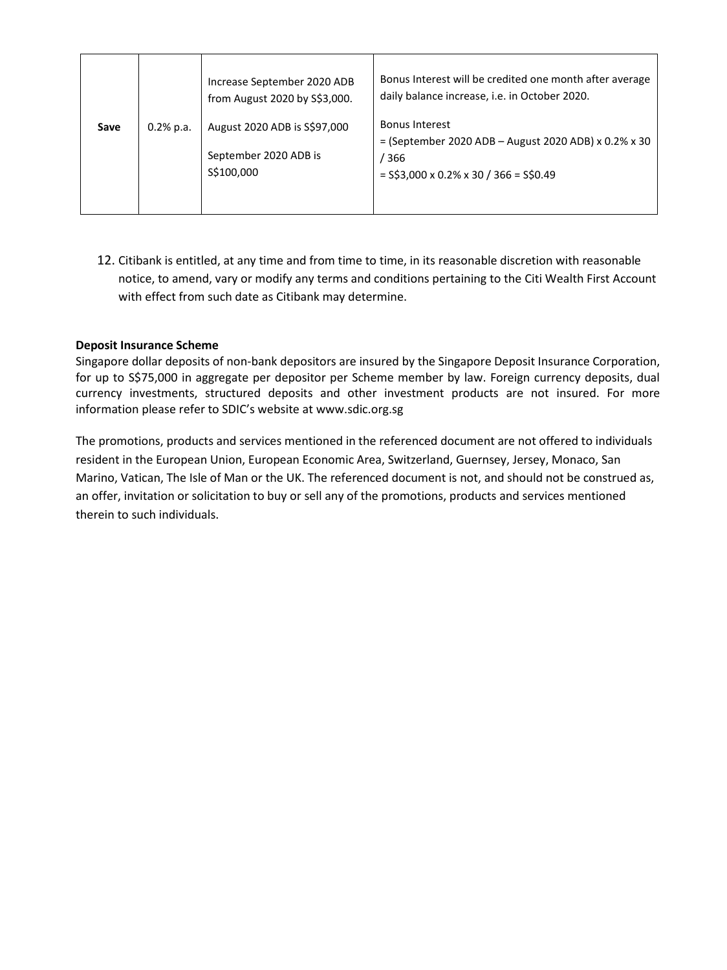|      |             | Increase September 2020 ADB<br>from August 2020 by S\$3,000.          | Bonus Interest will be credited one month after average<br>daily balance increase, i.e. in October 2020.                             |
|------|-------------|-----------------------------------------------------------------------|--------------------------------------------------------------------------------------------------------------------------------------|
| Save | $0.2%$ p.a. | August 2020 ADB is \$\$97,000<br>September 2020 ADB is<br>\$\$100,000 | <b>Bonus Interest</b><br>$=$ (September 2020 ADB – August 2020 ADB) x 0.2% x 30<br>/ 366<br>$=$ S\$3,000 x 0.2% x 30 / 366 = S\$0.49 |

12. Citibank is entitled, at any time and from time to time, in its reasonable discretion with reasonable notice, to amend, vary or modify any terms and conditions pertaining to the Citi Wealth First Account with effect from such date as Citibank may determine.

## **Deposit Insurance Scheme**

Singapore dollar deposits of non-bank depositors are insured by the Singapore Deposit Insurance Corporation, for up to S\$75,000 in aggregate per depositor per Scheme member by law. Foreign currency deposits, dual currency investments, structured deposits and other investment products are not insured. For more information please refer to SDIC's website at [www.sdic.org.sg](http://www.sdic.org.sg/)

The promotions, products and services mentioned in the referenced document are not offered to individuals resident in the European Union, European Economic Area, Switzerland, Guernsey, Jersey, Monaco, San Marino, Vatican, The Isle of Man or the UK. The referenced document is not, and should not be construed as, an offer, invitation or solicitation to buy or sell any of the promotions, products and services mentioned therein to such individuals.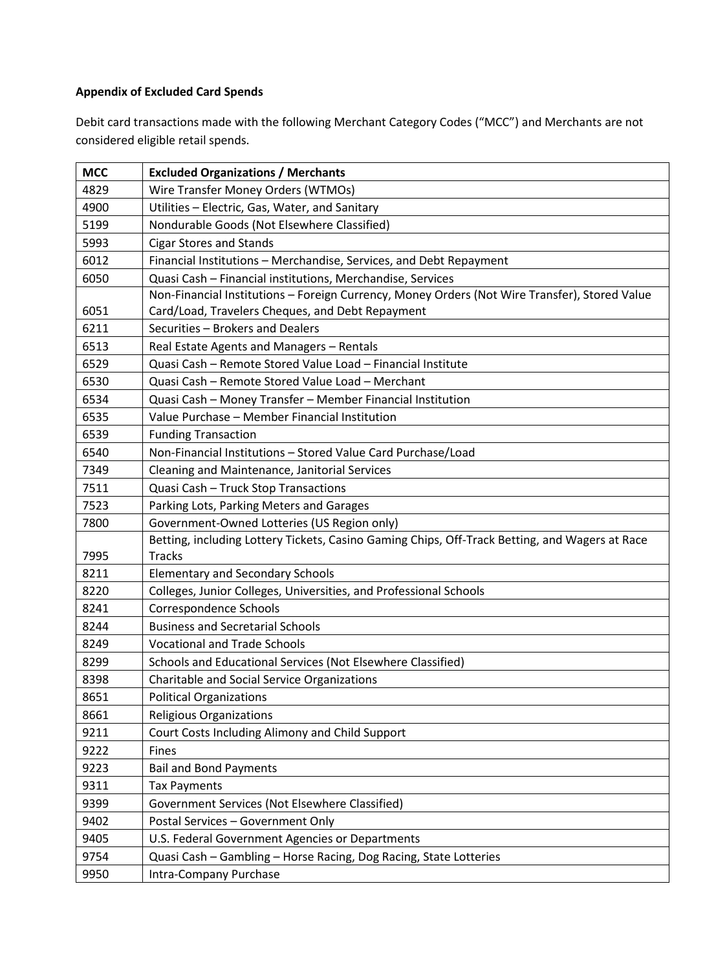## **Appendix of Excluded Card Spends**

Debit card transactions made with the following Merchant Category Codes ("MCC") and Merchants are not considered eligible retail spends.

| <b>MCC</b> | <b>Excluded Organizations / Merchants</b>                                                      |  |  |
|------------|------------------------------------------------------------------------------------------------|--|--|
| 4829       | Wire Transfer Money Orders (WTMOs)                                                             |  |  |
| 4900       | Utilities - Electric, Gas, Water, and Sanitary                                                 |  |  |
| 5199       | Nondurable Goods (Not Elsewhere Classified)                                                    |  |  |
| 5993       | <b>Cigar Stores and Stands</b>                                                                 |  |  |
| 6012       | Financial Institutions - Merchandise, Services, and Debt Repayment                             |  |  |
| 6050       | Quasi Cash - Financial institutions, Merchandise, Services                                     |  |  |
|            | Non-Financial Institutions - Foreign Currency, Money Orders (Not Wire Transfer), Stored Value  |  |  |
| 6051       | Card/Load, Travelers Cheques, and Debt Repayment                                               |  |  |
| 6211       | Securities - Brokers and Dealers                                                               |  |  |
| 6513       | Real Estate Agents and Managers - Rentals                                                      |  |  |
| 6529       | Quasi Cash - Remote Stored Value Load - Financial Institute                                    |  |  |
| 6530       | Quasi Cash - Remote Stored Value Load - Merchant                                               |  |  |
| 6534       | Quasi Cash - Money Transfer - Member Financial Institution                                     |  |  |
| 6535       | Value Purchase - Member Financial Institution                                                  |  |  |
| 6539       | <b>Funding Transaction</b>                                                                     |  |  |
| 6540       | Non-Financial Institutions - Stored Value Card Purchase/Load                                   |  |  |
| 7349       | Cleaning and Maintenance, Janitorial Services                                                  |  |  |
| 7511       | Quasi Cash - Truck Stop Transactions                                                           |  |  |
| 7523       | Parking Lots, Parking Meters and Garages                                                       |  |  |
| 7800       | Government-Owned Lotteries (US Region only)                                                    |  |  |
|            | Betting, including Lottery Tickets, Casino Gaming Chips, Off-Track Betting, and Wagers at Race |  |  |
| 7995       | <b>Tracks</b>                                                                                  |  |  |
| 8211       | <b>Elementary and Secondary Schools</b>                                                        |  |  |
| 8220       | Colleges, Junior Colleges, Universities, and Professional Schools                              |  |  |
| 8241       | Correspondence Schools                                                                         |  |  |
| 8244       | <b>Business and Secretarial Schools</b>                                                        |  |  |
| 8249       | <b>Vocational and Trade Schools</b>                                                            |  |  |
| 8299       | Schools and Educational Services (Not Elsewhere Classified)                                    |  |  |
| 8398       | Charitable and Social Service Organizations                                                    |  |  |
| 8651       | <b>Political Organizations</b>                                                                 |  |  |
| 8661       | <b>Religious Organizations</b>                                                                 |  |  |
| 9211       | Court Costs Including Alimony and Child Support                                                |  |  |
| 9222       | Fines                                                                                          |  |  |
| 9223       | <b>Bail and Bond Payments</b>                                                                  |  |  |
| 9311       | <b>Tax Payments</b>                                                                            |  |  |
| 9399       | Government Services (Not Elsewhere Classified)                                                 |  |  |
| 9402       | Postal Services - Government Only                                                              |  |  |
| 9405       | U.S. Federal Government Agencies or Departments                                                |  |  |
| 9754       | Quasi Cash - Gambling - Horse Racing, Dog Racing, State Lotteries                              |  |  |
| 9950       | Intra-Company Purchase                                                                         |  |  |